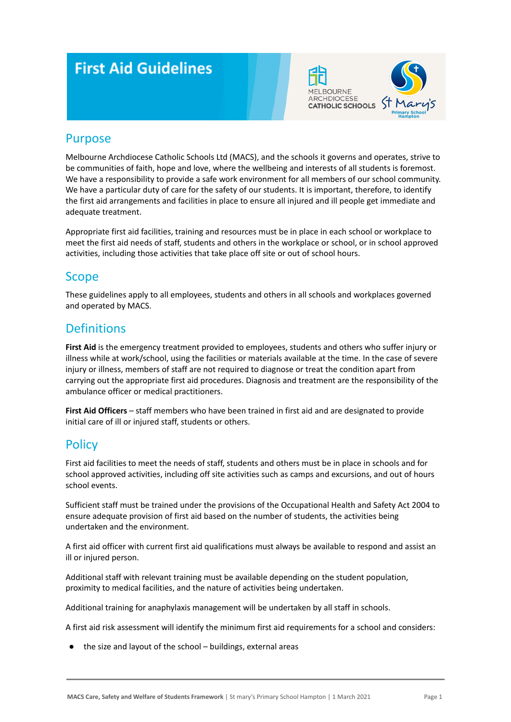# **First Aid Guidelines**





### Purpose

Melbourne Archdiocese Catholic Schools Ltd (MACS), and the schools it governs and operates, strive to be communities of faith, hope and love, where the wellbeing and interests of all students is foremost. We have a responsibility to provide a safe work environment for all members of our school community. We have a particular duty of care for the safety of our students. It is important, therefore, to identify the first aid arrangements and facilities in place to ensure all injured and ill people get immediate and adequate treatment.

Appropriate first aid facilities, training and resources must be in place in each school or workplace to meet the first aid needs of staff, students and others in the workplace or school, or in school approved activities, including those activities that take place off site or out of school hours.

### **Scope**

These guidelines apply to all employees, students and others in all schools and workplaces governed and operated by MACS.

### **Definitions**

**First Aid** is the emergency treatment provided to employees, students and others who suffer injury or illness while at work/school, using the facilities or materials available at the time. In the case of severe injury or illness, members of staff are not required to diagnose or treat the condition apart from carrying out the appropriate first aid procedures. Diagnosis and treatment are the responsibility of the ambulance officer or medical practitioners.

**First Aid Officers** – staff members who have been trained in first aid and are designated to provide initial care of ill or injured staff, students or others.

### **Policy**

First aid facilities to meet the needs of staff, students and others must be in place in schools and for school approved activities, including off site activities such as camps and excursions, and out of hours school events.

Sufficient staff must be trained under the provisions of the Occupational Health and Safety Act 2004 to ensure adequate provision of first aid based on the number of students, the activities being undertaken and the environment.

A first aid officer with current first aid qualifications must always be available to respond and assist an ill or injured person.

Additional staff with relevant training must be available depending on the student population, proximity to medical facilities, and the nature of activities being undertaken.

Additional training for anaphylaxis management will be undertaken by all staff in schools.

A first aid risk assessment will identify the minimum first aid requirements for a school and considers:

● the size and layout of the school – buildings, external areas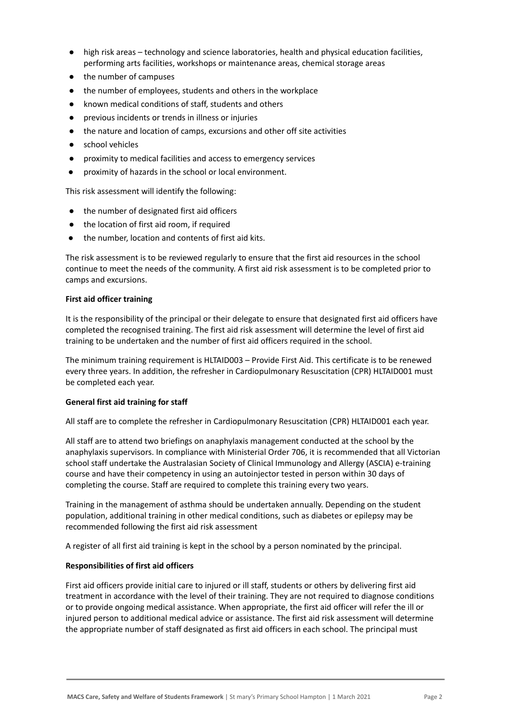- high risk areas technology and science laboratories, health and physical education facilities, performing arts facilities, workshops or maintenance areas, chemical storage areas
- the number of campuses
- the number of employees, students and others in the workplace
- known medical conditions of staff, students and others
- previous incidents or trends in illness or injuries
- the nature and location of camps, excursions and other off site activities
- school vehicles
- proximity to medical facilities and access to emergency services
- proximity of hazards in the school or local environment.

This risk assessment will identify the following:

- the number of designated first aid officers
- the location of first aid room, if required
- the number, location and contents of first aid kits.

The risk assessment is to be reviewed regularly to ensure that the first aid resources in the school continue to meet the needs of the community. A first aid risk assessment is to be completed prior to camps and excursions.

#### **First aid officer training**

It is the responsibility of the principal or their delegate to ensure that designated first aid officers have completed the recognised training. The first aid risk assessment will determine the level of first aid training to be undertaken and the number of first aid officers required in the school.

The minimum training requirement is HLTAID003 – Provide First Aid. This certificate is to be renewed every three years. In addition, the refresher in Cardiopulmonary Resuscitation (CPR) HLTAID001 must be completed each year.

#### **General first aid training for staff**

All staff are to complete the refresher in Cardiopulmonary Resuscitation (CPR) HLTAID001 each year.

All staff are to attend two briefings on anaphylaxis management conducted at the school by the anaphylaxis supervisors. In compliance with Ministerial Order 706, it is recommended that all Victorian school staff undertake the Australasian Society of Clinical Immunology and Allergy (ASCIA) e-training course and have their competency in using an autoinjector tested in person within 30 days of completing the course. Staff are required to complete this training every two years.

Training in the management of asthma should be undertaken annually. Depending on the student population, additional training in other medical conditions, such as diabetes or epilepsy may be recommended following the first aid risk assessment

A register of all first aid training is kept in the school by a person nominated by the principal.

#### **Responsibilities of first aid officers**

First aid officers provide initial care to injured or ill staff, students or others by delivering first aid treatment in accordance with the level of their training. They are not required to diagnose conditions or to provide ongoing medical assistance. When appropriate, the first aid officer will refer the ill or injured person to additional medical advice or assistance. The first aid risk assessment will determine the appropriate number of staff designated as first aid officers in each school. The principal must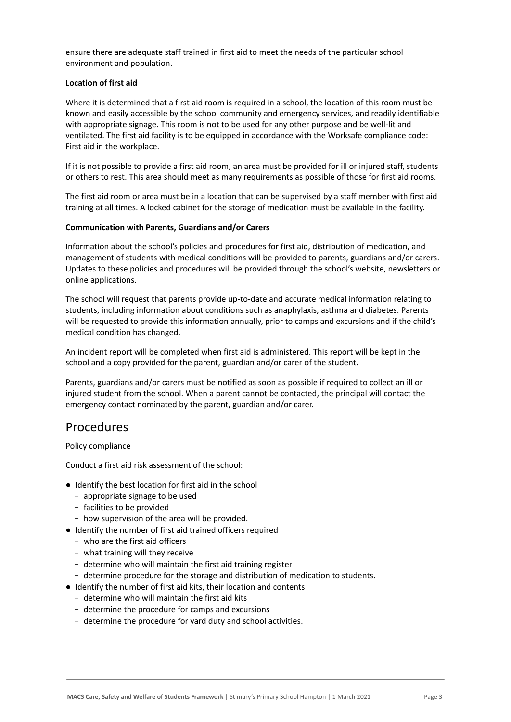ensure there are adequate staff trained in first aid to meet the needs of the particular school environment and population.

#### **Location of first aid**

Where it is determined that a first aid room is required in a school, the location of this room must be known and easily accessible by the school community and emergency services, and readily identifiable with appropriate signage. This room is not to be used for any other purpose and be well-lit and ventilated. The first aid facility is to be equipped in accordance with the Worksafe compliance code: First aid in the workplace.

If it is not possible to provide a first aid room, an area must be provided for ill or injured staff, students or others to rest. This area should meet as many requirements as possible of those for first aid rooms.

The first aid room or area must be in a location that can be supervised by a staff member with first aid training at all times. A locked cabinet for the storage of medication must be available in the facility.

#### **Communication with Parents, Guardians and/or Carers**

Information about the school's policies and procedures for first aid, distribution of medication, and management of students with medical conditions will be provided to parents, guardians and/or carers. Updates to these policies and procedures will be provided through the school's website, newsletters or online applications.

The school will request that parents provide up-to-date and accurate medical information relating to students, including information about conditions such as anaphylaxis, asthma and diabetes. Parents will be requested to provide this information annually, prior to camps and excursions and if the child's medical condition has changed.

An incident report will be completed when first aid is administered. This report will be kept in the school and a copy provided for the parent, guardian and/or carer of the student.

Parents, guardians and/or carers must be notified as soon as possible if required to collect an ill or injured student from the school. When a parent cannot be contacted, the principal will contact the emergency contact nominated by the parent, guardian and/or carer.

### Procedures

Policy compliance

Conduct a first aid risk assessment of the school:

- Identify the best location for first aid in the school
	- appropriate signage to be used
	- facilities to be provided
	- how supervision of the area will be provided.
- Identify the number of first aid trained officers required
	- who are the first aid officers
	- what training will they receive
	- determine who will maintain the first aid training register
	- determine procedure for the storage and distribution of medication to students.
- Identify the number of first aid kits, their location and contents
	- determine who will maintain the first aid kits
	- determine the procedure for camps and excursions
	- determine the procedure for yard duty and school activities.